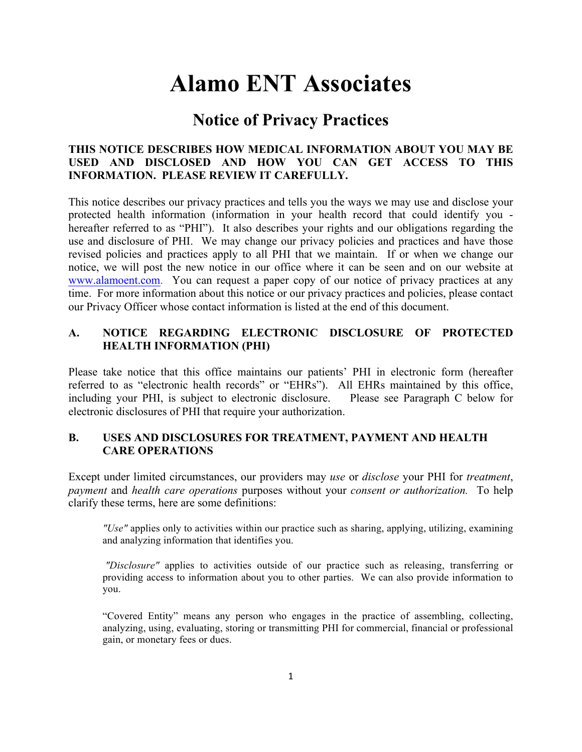# **Alamo ENT Associates**

# **Notice of Privacy Practices**

#### **THIS NOTICE DESCRIBES HOW MEDICAL INFORMATION ABOUT YOU MAY BE USED AND DISCLOSED AND HOW YOU CAN GET ACCESS TO THIS INFORMATION. PLEASE REVIEW IT CAREFULLY.**

This notice describes our privacy practices and tells you the ways we may use and disclose your protected health information (information in your health record that could identify you hereafter referred to as "PHI"). It also describes your rights and our obligations regarding the use and disclosure of PHI. We may change our privacy policies and practices and have those revised policies and practices apply to all PHI that we maintain. If or when we change our notice, we will post the new notice in our office where it can be seen and on our website at www.alamoent.com. You can request a paper copy of our notice of privacy practices at any time. For more information about this notice or our privacy practices and policies, please contact our Privacy Officer whose contact information is listed at the end of this document.

#### **A. NOTICE REGARDING ELECTRONIC DISCLOSURE OF PROTECTED HEALTH INFORMATION (PHI)**

Please take notice that this office maintains our patients' PHI in electronic form (hereafter referred to as "electronic health records" or "EHRs"). All EHRs maintained by this office, including your PHI, is subject to electronic disclosure. Please see Paragraph C below for electronic disclosures of PHI that require your authorization.

#### **B. USES AND DISCLOSURES FOR TREATMENT, PAYMENT AND HEALTH CARE OPERATIONS**

Except under limited circumstances, our providers may *use* or *disclose* your PHI for *treatment*, *payment* and *health care operations* purposes without your *consent or authorization.* To help clarify these terms, here are some definitions:

 *"Use"* applies only to activities within our practice such as sharing, applying, utilizing, examining and analyzing information that identifies you.

 *"Disclosure"* applies to activities outside of our practice such as releasing, transferring or providing access to information about you to other parties. We can also provide information to you.

 "Covered Entity" means any person who engages in the practice of assembling, collecting, analyzing, using, evaluating, storing or transmitting PHI for commercial, financial or professional gain, or monetary fees or dues.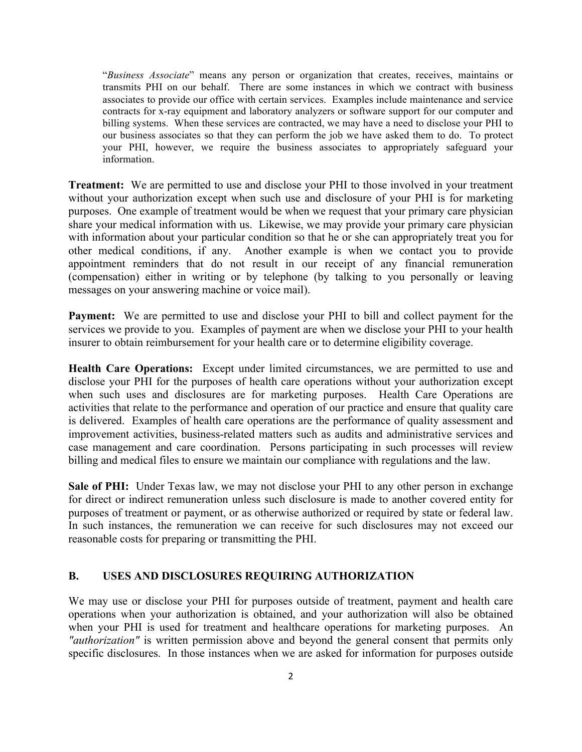"*Business Associate*" means any person or organization that creates, receives, maintains or transmits PHI on our behalf. There are some instances in which we contract with business associates to provide our office with certain services. Examples include maintenance and service contracts for x-ray equipment and laboratory analyzers or software support for our computer and billing systems. When these services are contracted, we may have a need to disclose your PHI to our business associates so that they can perform the job we have asked them to do. To protect your PHI, however, we require the business associates to appropriately safeguard your information.

**Treatment:** We are permitted to use and disclose your PHI to those involved in your treatment without your authorization except when such use and disclosure of your PHI is for marketing purposes. One example of treatment would be when we request that your primary care physician share your medical information with us. Likewise, we may provide your primary care physician with information about your particular condition so that he or she can appropriately treat you for other medical conditions, if any. Another example is when we contact you to provide appointment reminders that do not result in our receipt of any financial remuneration (compensation) either in writing or by telephone (by talking to you personally or leaving messages on your answering machine or voice mail).

**Payment:** We are permitted to use and disclose your PHI to bill and collect payment for the services we provide to you. Examples of payment are when we disclose your PHI to your health insurer to obtain reimbursement for your health care or to determine eligibility coverage.

**Health Care Operations:** Except under limited circumstances, we are permitted to use and disclose your PHI for the purposes of health care operations without your authorization except when such uses and disclosures are for marketing purposes. Health Care Operations are activities that relate to the performance and operation of our practice and ensure that quality care is delivered. Examples of health care operations are the performance of quality assessment and improvement activities, business-related matters such as audits and administrative services and case management and care coordination. Persons participating in such processes will review billing and medical files to ensure we maintain our compliance with regulations and the law.

**Sale of PHI:** Under Texas law, we may not disclose your PHI to any other person in exchange for direct or indirect remuneration unless such disclosure is made to another covered entity for purposes of treatment or payment, or as otherwise authorized or required by state or federal law. In such instances, the remuneration we can receive for such disclosures may not exceed our reasonable costs for preparing or transmitting the PHI.

#### **B. USES AND DISCLOSURES REQUIRING AUTHORIZATION**

We may use or disclose your PHI for purposes outside of treatment, payment and health care operations when your authorization is obtained, and your authorization will also be obtained when your PHI is used for treatment and healthcare operations for marketing purposes. An *"authorization"* is written permission above and beyond the general consent that permits only specific disclosures. In those instances when we are asked for information for purposes outside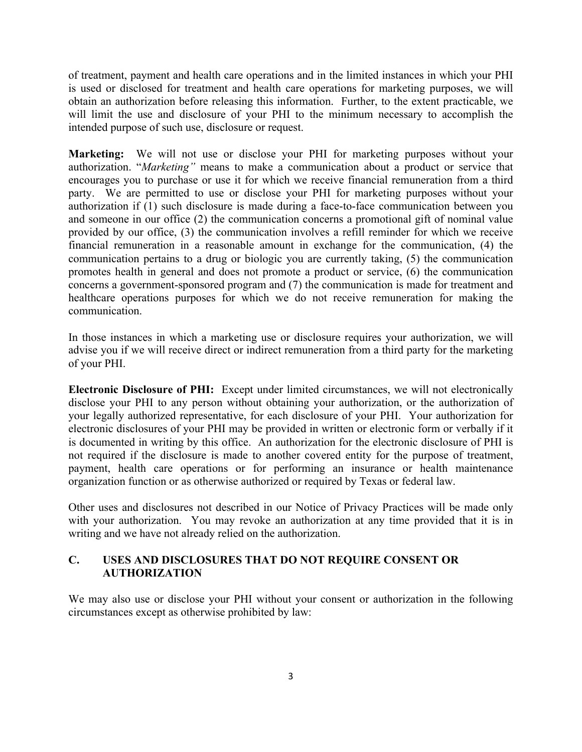of treatment, payment and health care operations and in the limited instances in which your PHI is used or disclosed for treatment and health care operations for marketing purposes, we will obtain an authorization before releasing this information. Further, to the extent practicable, we will limit the use and disclosure of your PHI to the minimum necessary to accomplish the intended purpose of such use, disclosure or request.

**Marketing:** We will not use or disclose your PHI for marketing purposes without your authorization. "*Marketing"* means to make a communication about a product or service that encourages you to purchase or use it for which we receive financial remuneration from a third party. We are permitted to use or disclose your PHI for marketing purposes without your authorization if (1) such disclosure is made during a face-to-face communication between you and someone in our office (2) the communication concerns a promotional gift of nominal value provided by our office, (3) the communication involves a refill reminder for which we receive financial remuneration in a reasonable amount in exchange for the communication, (4) the communication pertains to a drug or biologic you are currently taking, (5) the communication promotes health in general and does not promote a product or service, (6) the communication concerns a government-sponsored program and (7) the communication is made for treatment and healthcare operations purposes for which we do not receive remuneration for making the communication.

In those instances in which a marketing use or disclosure requires your authorization, we will advise you if we will receive direct or indirect remuneration from a third party for the marketing of your PHI.

**Electronic Disclosure of PHI:** Except under limited circumstances, we will not electronically disclose your PHI to any person without obtaining your authorization, or the authorization of your legally authorized representative, for each disclosure of your PHI. Your authorization for electronic disclosures of your PHI may be provided in written or electronic form or verbally if it is documented in writing by this office. An authorization for the electronic disclosure of PHI is not required if the disclosure is made to another covered entity for the purpose of treatment, payment, health care operations or for performing an insurance or health maintenance organization function or as otherwise authorized or required by Texas or federal law.

Other uses and disclosures not described in our Notice of Privacy Practices will be made only with your authorization. You may revoke an authorization at any time provided that it is in writing and we have not already relied on the authorization.

#### **C. USES AND DISCLOSURES THAT DO NOT REQUIRE CONSENT OR AUTHORIZATION**

We may also use or disclose your PHI without your consent or authorization in the following circumstances except as otherwise prohibited by law: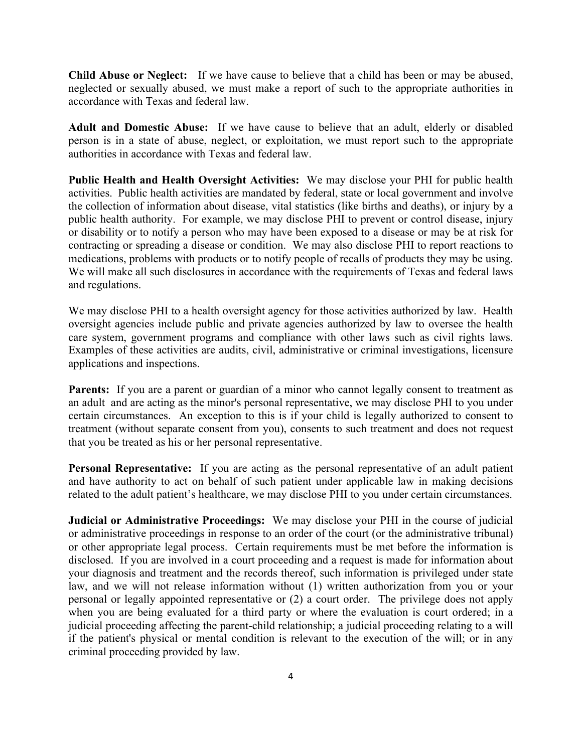**Child Abuse or Neglect:** If we have cause to believe that a child has been or may be abused, neglected or sexually abused, we must make a report of such to the appropriate authorities in accordance with Texas and federal law.

**Adult and Domestic Abuse:** If we have cause to believe that an adult, elderly or disabled person is in a state of abuse, neglect, or exploitation, we must report such to the appropriate authorities in accordance with Texas and federal law.

**Public Health and Health Oversight Activities:** We may disclose your PHI for public health activities. Public health activities are mandated by federal, state or local government and involve the collection of information about disease, vital statistics (like births and deaths), or injury by a public health authority. For example, we may disclose PHI to prevent or control disease, injury or disability or to notify a person who may have been exposed to a disease or may be at risk for contracting or spreading a disease or condition. We may also disclose PHI to report reactions to medications, problems with products or to notify people of recalls of products they may be using. We will make all such disclosures in accordance with the requirements of Texas and federal laws and regulations.

We may disclose PHI to a health oversight agency for those activities authorized by law. Health oversight agencies include public and private agencies authorized by law to oversee the health care system, government programs and compliance with other laws such as civil rights laws. Examples of these activities are audits, civil, administrative or criminal investigations, licensure applications and inspections.

**Parents:** If you are a parent or guardian of a minor who cannot legally consent to treatment as an adult and are acting as the minor's personal representative, we may disclose PHI to you under certain circumstances. An exception to this is if your child is legally authorized to consent to treatment (without separate consent from you), consents to such treatment and does not request that you be treated as his or her personal representative.

**Personal Representative:** If you are acting as the personal representative of an adult patient and have authority to act on behalf of such patient under applicable law in making decisions related to the adult patient's healthcare, we may disclose PHI to you under certain circumstances.

**Judicial or Administrative Proceedings:** We may disclose your PHI in the course of judicial or administrative proceedings in response to an order of the court (or the administrative tribunal) or other appropriate legal process. Certain requirements must be met before the information is disclosed. If you are involved in a court proceeding and a request is made for information about your diagnosis and treatment and the records thereof, such information is privileged under state law, and we will not release information without (1) written authorization from you or your personal or legally appointed representative or (2) a court order. The privilege does not apply when you are being evaluated for a third party or where the evaluation is court ordered; in a judicial proceeding affecting the parent-child relationship; a judicial proceeding relating to a will if the patient's physical or mental condition is relevant to the execution of the will; or in any criminal proceeding provided by law.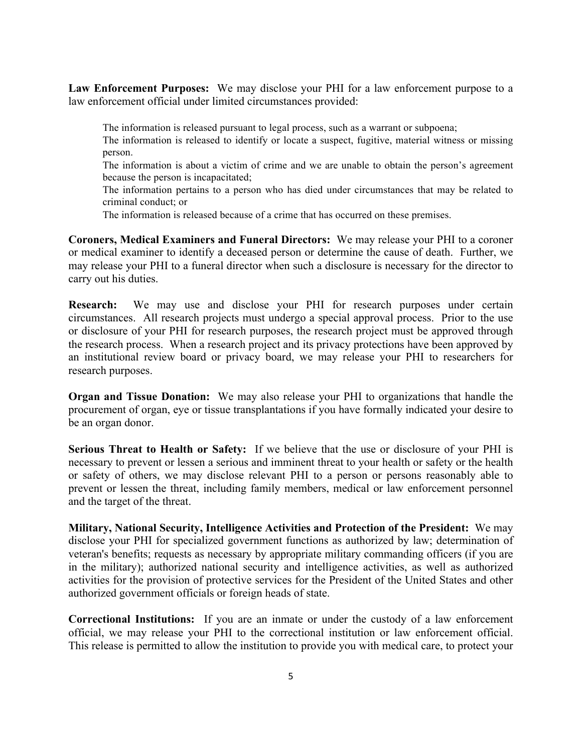**Law Enforcement Purposes:** We may disclose your PHI for a law enforcement purpose to a law enforcement official under limited circumstances provided:

The information is released pursuant to legal process, such as a warrant or subpoena;

 The information is released to identify or locate a suspect, fugitive, material witness or missing person.

 The information is about a victim of crime and we are unable to obtain the person's agreement because the person is incapacitated;

 The information pertains to a person who has died under circumstances that may be related to criminal conduct; or

The information is released because of a crime that has occurred on these premises.

**Coroners, Medical Examiners and Funeral Directors:** We may release your PHI to a coroner or medical examiner to identify a deceased person or determine the cause of death. Further, we may release your PHI to a funeral director when such a disclosure is necessary for the director to carry out his duties.

**Research:** We may use and disclose your PHI for research purposes under certain circumstances. All research projects must undergo a special approval process. Prior to the use or disclosure of your PHI for research purposes, the research project must be approved through the research process. When a research project and its privacy protections have been approved by an institutional review board or privacy board, we may release your PHI to researchers for research purposes.

**Organ and Tissue Donation:** We may also release your PHI to organizations that handle the procurement of organ, eye or tissue transplantations if you have formally indicated your desire to be an organ donor.

**Serious Threat to Health or Safety:** If we believe that the use or disclosure of your PHI is necessary to prevent or lessen a serious and imminent threat to your health or safety or the health or safety of others, we may disclose relevant PHI to a person or persons reasonably able to prevent or lessen the threat, including family members, medical or law enforcement personnel and the target of the threat.

**Military, National Security, Intelligence Activities and Protection of the President:** We may disclose your PHI for specialized government functions as authorized by law; determination of veteran's benefits; requests as necessary by appropriate military commanding officers (if you are in the military); authorized national security and intelligence activities, as well as authorized activities for the provision of protective services for the President of the United States and other authorized government officials or foreign heads of state.

**Correctional Institutions:** If you are an inmate or under the custody of a law enforcement official, we may release your PHI to the correctional institution or law enforcement official. This release is permitted to allow the institution to provide you with medical care, to protect your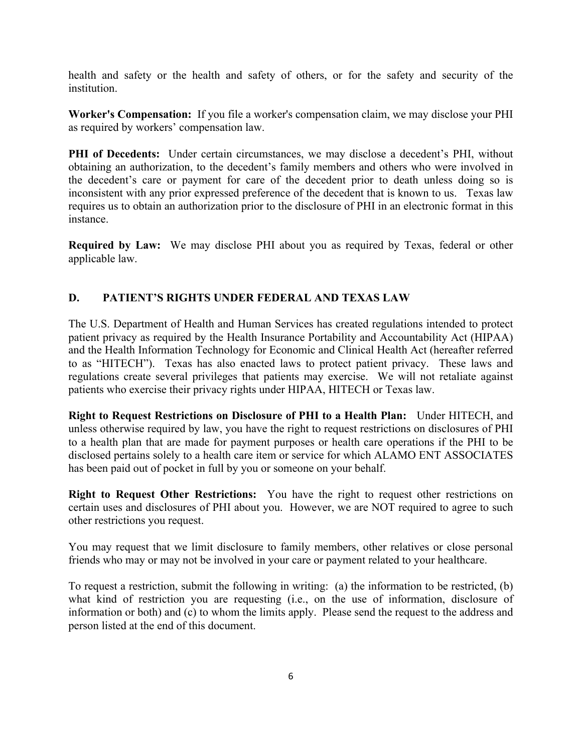health and safety or the health and safety of others, or for the safety and security of the **institution** 

**Worker's Compensation:** If you file a worker's compensation claim, we may disclose your PHI as required by workers' compensation law.

**PHI of Decedents:** Under certain circumstances, we may disclose a decedent's PHI, without obtaining an authorization, to the decedent's family members and others who were involved in the decedent's care or payment for care of the decedent prior to death unless doing so is inconsistent with any prior expressed preference of the decedent that is known to us. Texas law requires us to obtain an authorization prior to the disclosure of PHI in an electronic format in this instance.

**Required by Law:** We may disclose PHI about you as required by Texas, federal or other applicable law.

### **D. PATIENT'S RIGHTS UNDER FEDERAL AND TEXAS LAW**

The U.S. Department of Health and Human Services has created regulations intended to protect patient privacy as required by the Health Insurance Portability and Accountability Act (HIPAA) and the Health Information Technology for Economic and Clinical Health Act (hereafter referred to as "HITECH"). Texas has also enacted laws to protect patient privacy. These laws and regulations create several privileges that patients may exercise. We will not retaliate against patients who exercise their privacy rights under HIPAA, HITECH or Texas law.

**Right to Request Restrictions on Disclosure of PHI to a Health Plan:**Under HITECH, and unless otherwise required by law, you have the right to request restrictions on disclosures of PHI to a health plan that are made for payment purposes or health care operations if the PHI to be disclosed pertains solely to a health care item or service for which ALAMO ENT ASSOCIATES has been paid out of pocket in full by you or someone on your behalf.

**Right to Request Other Restrictions:** You have the right to request other restrictions on certain uses and disclosures of PHI about you. However, we are NOT required to agree to such other restrictions you request.

You may request that we limit disclosure to family members, other relatives or close personal friends who may or may not be involved in your care or payment related to your healthcare.

To request a restriction, submit the following in writing: (a) the information to be restricted, (b) what kind of restriction you are requesting (i.e., on the use of information, disclosure of information or both) and (c) to whom the limits apply. Please send the request to the address and person listed at the end of this document.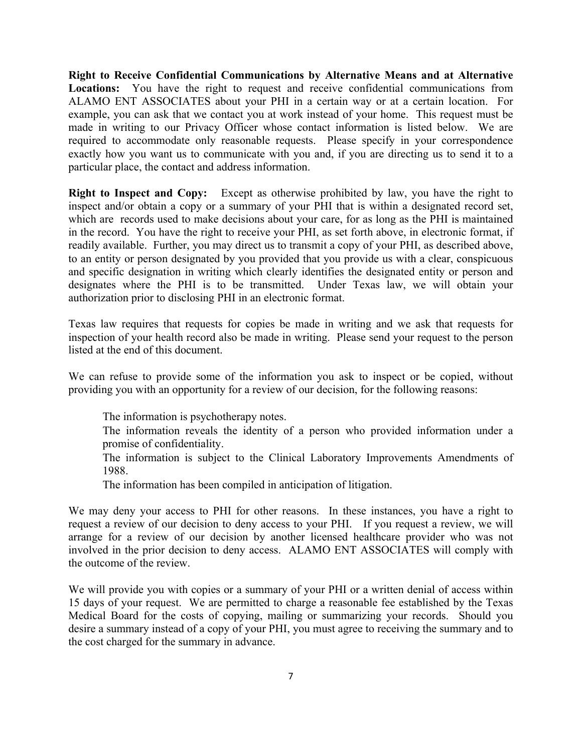**Right to Receive Confidential Communications by Alternative Means and at Alternative Locations:**You have the right to request and receive confidential communications from ALAMO ENT ASSOCIATES about your PHI in a certain way or at a certain location. For example, you can ask that we contact you at work instead of your home. This request must be made in writing to our Privacy Officer whose contact information is listed below. We are required to accommodate only reasonable requests. Please specify in your correspondence exactly how you want us to communicate with you and, if you are directing us to send it to a particular place, the contact and address information.

**Right to Inspect and Copy:** Except as otherwise prohibited by law, you have the right to inspect and/or obtain a copy or a summary of your PHI that is within a designated record set, which are records used to make decisions about your care, for as long as the PHI is maintained in the record. You have the right to receive your PHI, as set forth above, in electronic format, if readily available. Further, you may direct us to transmit a copy of your PHI, as described above, to an entity or person designated by you provided that you provide us with a clear, conspicuous and specific designation in writing which clearly identifies the designated entity or person and designates where the PHI is to be transmitted. Under Texas law, we will obtain your authorization prior to disclosing PHI in an electronic format.

Texas law requires that requests for copies be made in writing and we ask that requests for inspection of your health record also be made in writing. Please send your request to the person listed at the end of this document.

We can refuse to provide some of the information you ask to inspect or be copied, without providing you with an opportunity for a review of our decision, for the following reasons:

The information is psychotherapy notes.

 The information reveals the identity of a person who provided information under a promise of confidentiality.

 The information is subject to the Clinical Laboratory Improvements Amendments of 1988.

The information has been compiled in anticipation of litigation.

We may deny your access to PHI for other reasons. In these instances, you have a right to request a review of our decision to deny access to your PHI. If you request a review, we will arrange for a review of our decision by another licensed healthcare provider who was not involved in the prior decision to deny access. ALAMO ENT ASSOCIATES will comply with the outcome of the review.

We will provide you with copies or a summary of your PHI or a written denial of access within 15 days of your request. We are permitted to charge a reasonable fee established by the Texas Medical Board for the costs of copying, mailing or summarizing your records. Should you desire a summary instead of a copy of your PHI, you must agree to receiving the summary and to the cost charged for the summary in advance.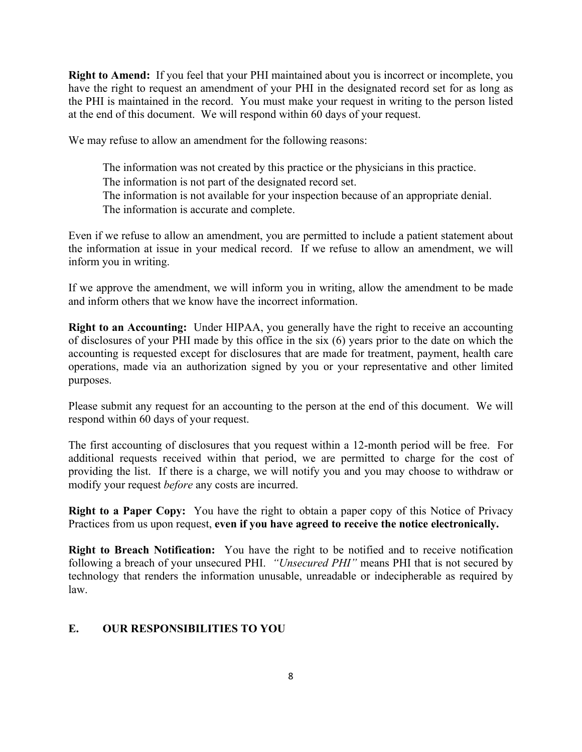**Right to Amend:**If you feel that your PHI maintained about you is incorrect or incomplete, you have the right to request an amendment of your PHI in the designated record set for as long as the PHI is maintained in the record. You must make your request in writing to the person listed at the end of this document. We will respond within 60 days of your request.

We may refuse to allow an amendment for the following reasons:

 The information was not created by this practice or the physicians in this practice. The information is not part of the designated record set. The information is not available for your inspection because of an appropriate denial. The information is accurate and complete.

Even if we refuse to allow an amendment, you are permitted to include a patient statement about the information at issue in your medical record. If we refuse to allow an amendment, we will inform you in writing.

If we approve the amendment, we will inform you in writing, allow the amendment to be made and inform others that we know have the incorrect information.

**Right to an Accounting:** Under HIPAA, you generally have the right to receive an accounting of disclosures of your PHI made by this office in the six (6) years prior to the date on which the accounting is requested except for disclosures that are made for treatment, payment, health care operations, made via an authorization signed by you or your representative and other limited purposes.

Please submit any request for an accounting to the person at the end of this document. We will respond within 60 days of your request.

The first accounting of disclosures that you request within a 12-month period will be free. For additional requests received within that period, we are permitted to charge for the cost of providing the list. If there is a charge, we will notify you and you may choose to withdraw or modify your request *before* any costs are incurred.

**Right to a Paper Copy:**You have the right to obtain a paper copy of this Notice of Privacy Practices from us upon request, **even if you have agreed to receive the notice electronically.**

**Right to Breach Notification:** You have the right to be notified and to receive notification following a breach of your unsecured PHI. *"Unsecured PHI"* means PHI that is not secured by technology that renders the information unusable, unreadable or indecipherable as required by law.

### **E. OUR RESPONSIBILITIES TO YOU**